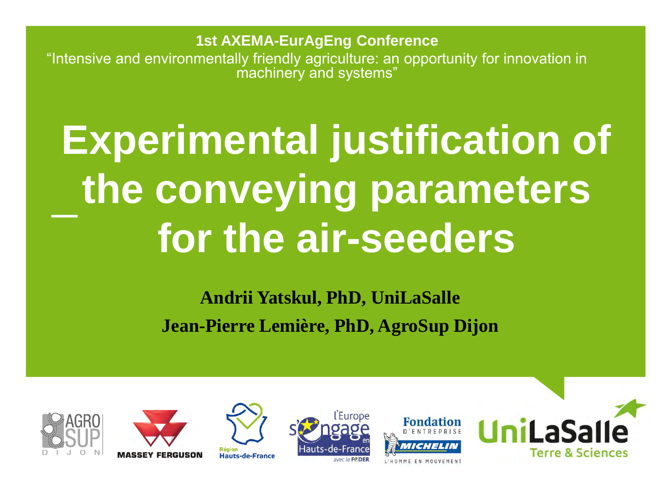**1st AXEMA-EurAgEng Conference** "Intensive and environmentally friendly agriculture: an opportunity for innovation in machinery and systems"

# **Experimental justification of the conveying parameters for the air-seeders**

**Andrii Yatskul, PhD, UniLaSalle Jean-Pierre Lemière, PhD, AgroSup Dijon**









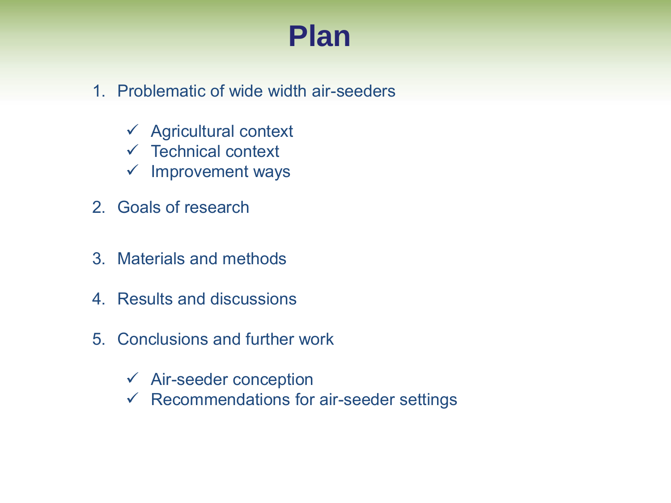## **Plan**

- 1. Problematic of wide width air-seeders
	- $\checkmark$  Agricultural context
	- $\checkmark$  Technical context
	- $\checkmark$  Improvement ways
- 2. Goals of research
- 3. Materials and methods
- 4. Results and discussions
- 5. Conclusions and further work
	- $\checkmark$  Air-seeder conception
	- $\checkmark$  Recommendations for air-seeder settings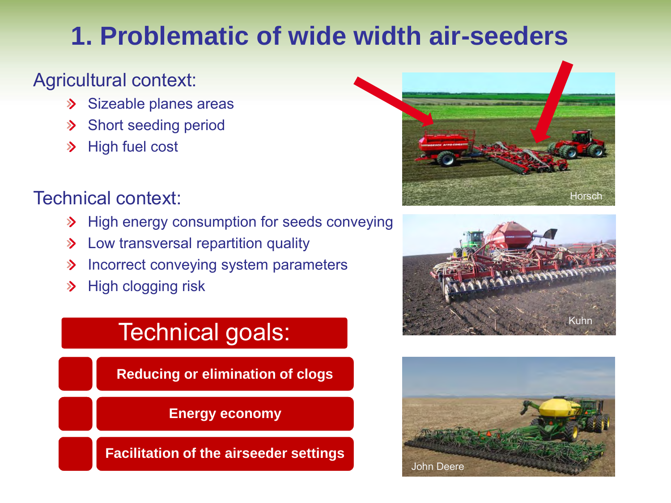## **1. Problematic of wide width air-seeders**

#### Agricultural context:

- Sizeable planes areas  $\sum$
- Short seeding period  $\sum$
- High fuel cost  $\sum$

#### Technical context:

- > High energy consumption for seeds conveying
- **>** Low transversal repartition quality
- Incorrect conveying system parameters  $\sum$
- High clogging risk  $\sum$

## Technical goals:

**Reducing or elimination of clogs**

**Energy economy**

**Facilitation of the airseeder settings**





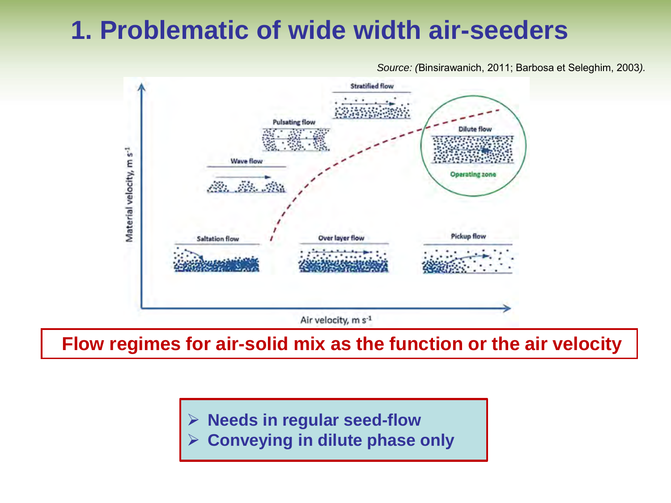## **1. Problematic of wide width air-seeders**

*Source: (*Binsirawanich, 2011; Barbosa et Seleghim, 2003*).*



**Flow regimes for air-solid mix as the function or the air velocity**

 **Needs in regular seed-flow Conveying in dilute phase only**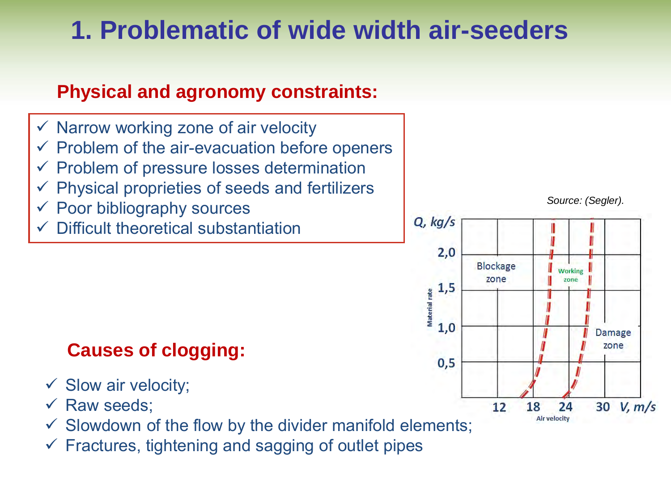## **1. Problematic of wide width air-seeders**

#### **Physical and agronomy constraints:**

- $\checkmark$  Narrow working zone of air velocity
- $\checkmark$  Problem of the air-evacuation before openers
- Problem of pressure losses determination
- Physical proprieties of seeds and fertilizers
- $\checkmark$  Poor bibliography sources
- Difficult theoretical substantiation

## **Causes of clogging:**

- $\checkmark$  Slow air velocity;
- $\checkmark$  Raw seeds;
- $\checkmark$  Slowdown of the flow by the divider manifold elements;
- $\checkmark$  Fractures, tightening and sagging of outlet pipes

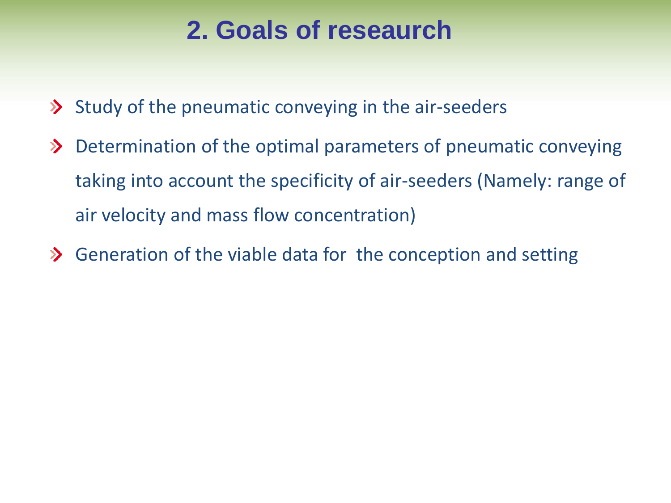## **2. Goals of reseaurch**

- $\lambda$  Study of the pneumatic conveying in the air-seeders
- Determination of the optimal parameters of pneumatic conveying  $\sum$ taking into account the specificity of air-seeders (Namely: range of air velocity and mass flow concentration)
- $\lambda$  Generation of the viable data for the conception and setting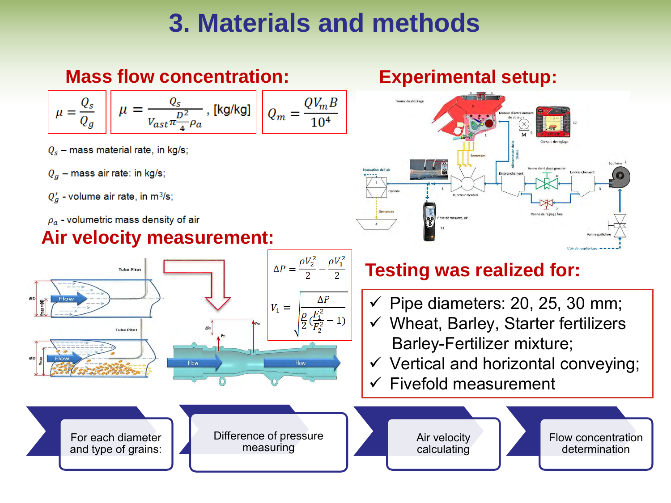## **3. Materials and methods**

## **Mass flow concentration:**

$$
\mu = \frac{Q_s}{Q_g} \quad \mu = \frac{Q_s}{V_{ast} \pi \frac{D^2}{4} \rho_a}, \text{ [kg/kg]} \quad Q_m = \frac{Q V_m B}{10^4}
$$

- $Q_s$  mass material rate, in kg/s;
- $Q_a$  mass air rate: in kg/s;
- $Q'_a$  volume air rate, in m<sup>3</sup>/s;
- $\rho_a$  volumetric mass density of air

#### **Air velocity measurement:**



#### **Experimental setup:**

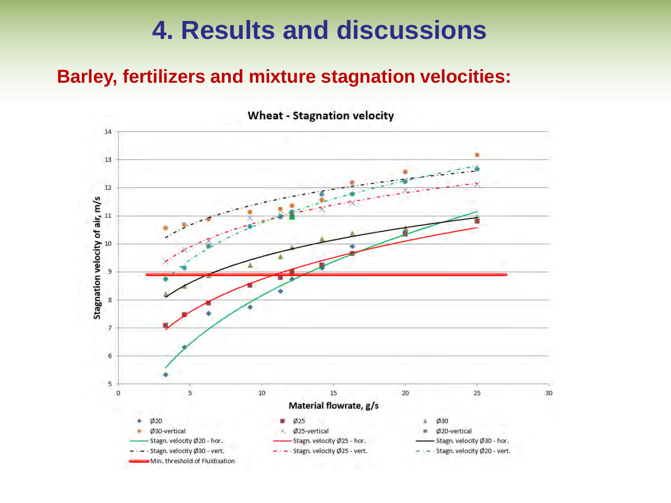#### **Barley, fertilizers and mixture stagnation velocities:**

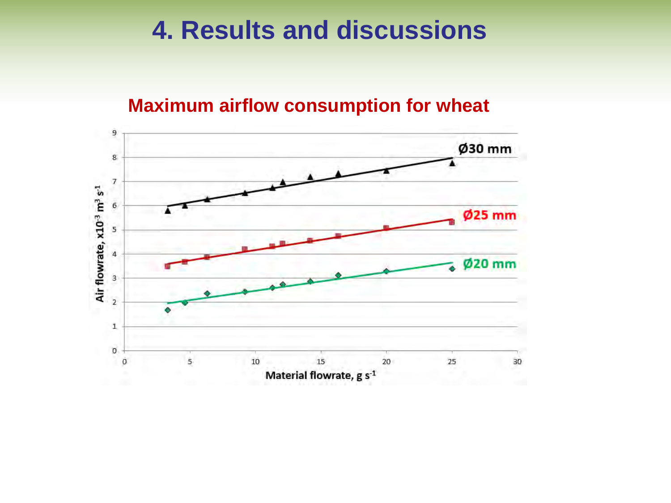#### **Maximum airflow consumption for wheat**

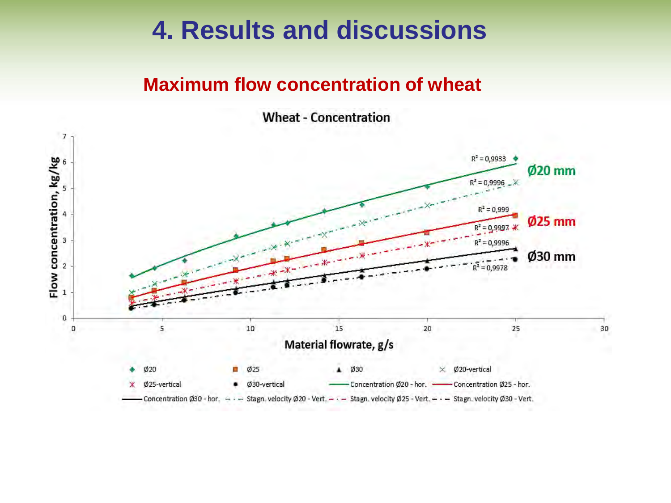#### **Maximum flow concentration of wheat**

**Wheat - Concentration** 

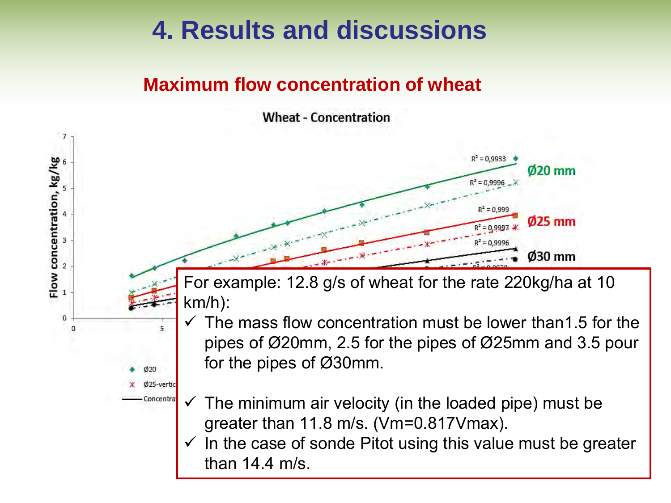#### **Maximum flow concentration of wheat**

 $\overline{7}$ 

6

Flow concentration, kg/kg

3

 $\overline{2}$ 

 $\mathbf{1}$ 

0

Ø<sub>20</sub> Ø25-vertic Concentral **Wheat - Concentration** 



For example: 12.8 g/s of wheat for the rate 220kg/ha at 10 km/h):

- The mass flow concentration must be lower than1.5 for the pipes of Ø20mm, 2.5 for the pipes of Ø25mm and 3.5 pour for the pipes of Ø30mm.
- The minimum air velocity (in the loaded pipe) must be greater than 11.8 m/s. (Vm=0.817Vmax).
- $\checkmark$  In the case of sonde Pitot using this value must be greater than 14.4 m/s.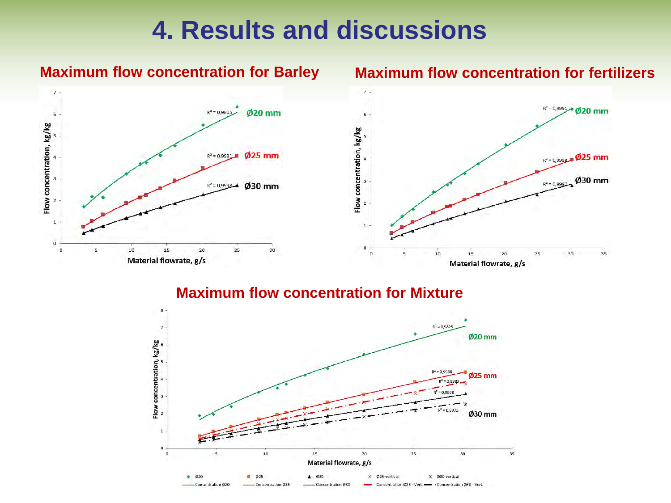

#### **Maximum flow concentration for Barley Maximum flow concentration for fertilizers**



#### **Maximum flow concentration for Mixture**

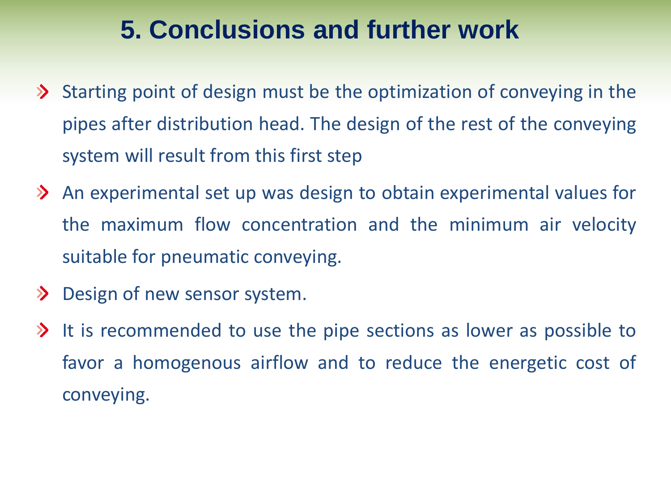## **5. Conclusions and further work**

- $\triangleright$  Starting point of design must be the optimization of conveying in the pipes after distribution head. The design of the rest of the conveying system will result from this first step
- **EX** An experimental set up was design to obtain experimental values for the maximum flow concentration and the minimum air velocity suitable for pneumatic conveying.
- Design of new sensor system.
- $\lambda$  It is recommended to use the pipe sections as lower as possible to favor a homogenous airflow and to reduce the energetic cost of conveying.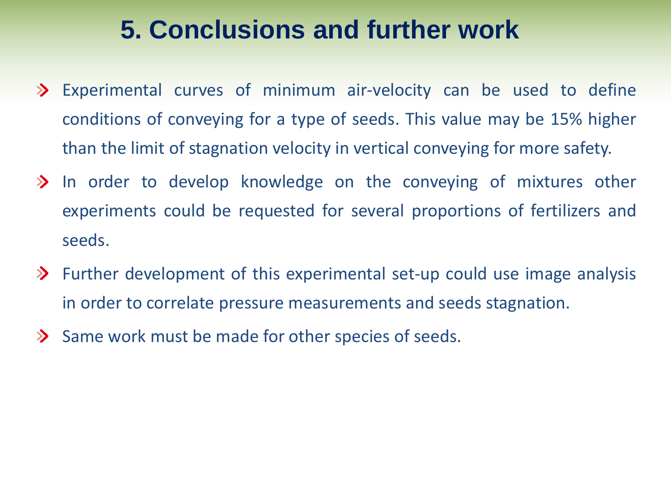## **5. Conclusions and further work**

- Experimental curves of minimum air-velocity can be used to define conditions of conveying for a type of seeds. This value may be 15% higher than the limit of stagnation velocity in vertical conveying for more safety.
- $\geq$  In order to develop knowledge on the conveying of mixtures other experiments could be requested for several proportions of fertilizers and seeds.
- $\triangleright$  Further development of this experimental set-up could use image analysis in order to correlate pressure measurements and seeds stagnation.
- $\sum$  Same work must be made for other species of seeds.